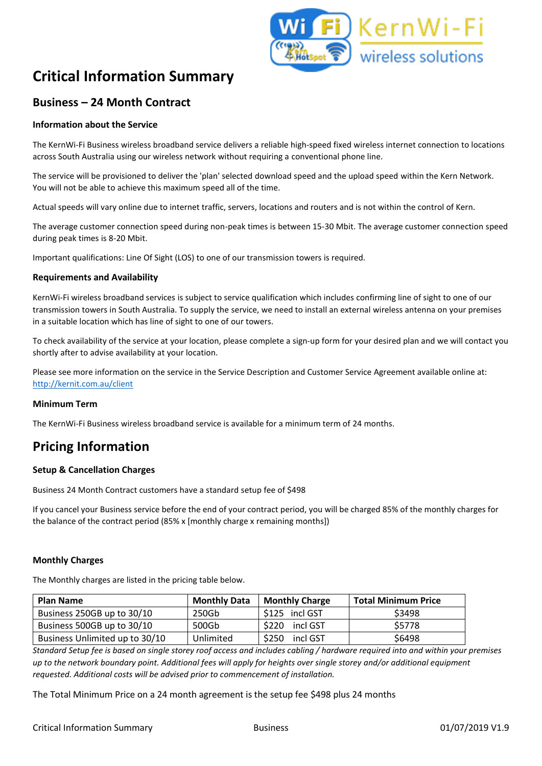

# **Critical Information Summary**

### **Business – 24 Month Contract**

#### **Information about the Service**

The KernWi-Fi Business wireless broadband service delivers a reliable high-speed fixed wireless internet connection to locations across South Australia using our wireless network without requiring a conventional phone line.

The service will be provisioned to deliver the 'plan' selected download speed and the upload speed within the Kern Network. You will not be able to achieve this maximum speed all of the time.

Actual speeds will vary online due to internet traffic, servers, locations and routers and is not within the control of Kern.

The average customer connection speed during non-peak times is between 15-30 Mbit. The average customer connection speed during peak times is 8-20 Mbit.

Important qualifications: Line Of Sight (LOS) to one of our transmission towers is required.

#### **Requirements and Availability**

KernWi-Fi wireless broadband services is subject to service qualification which includes confirming line of sight to one of our transmission towers in South Australia. To supply the service, we need to install an external wireless antenna on your premises in a suitable location which has line of sight to one of our towers.

To check availability of the service at your location, please complete a sign-up form for your desired plan and we will contact you shortly after to advise availability at your location.

Please see more information on the service in the Service Description and Customer Service Agreement available online at: <http://kernit.com.au/client>

#### **Minimum Term**

The KernWi-Fi Business wireless broadband service is available for a minimum term of 24 months.

## **Pricing Information**

#### **Setup & Cancellation Charges**

Business 24 Month Contract customers have a standard setup fee of \$498

If you cancel your Business service before the end of your contract period, you will be charged 85% of the monthly charges for the balance of the contract period (85% x [monthly charge x remaining months])

#### **Monthly Charges**

The Monthly charges are listed in the pricing table below.

| <b>Plan Name</b>               | <b>Monthly Data</b> | <b>Monthly Charge</b> | <b>Total Minimum Price</b> |
|--------------------------------|---------------------|-----------------------|----------------------------|
| Business 250GB up to 30/10     | 250Gb               | \$125 incl GST        | \$3498                     |
| Business 500GB up to 30/10     | 500Gb               | \$220<br>incl GST     | \$5778                     |
| Business Unlimited up to 30/10 | Unlimited           | \$250<br>incl GST     | \$6498                     |

*Standard Setup fee is based on single storey roof access and includes cabling / hardware required into and within your premises up to the network boundary point. Additional fees will apply for heights over single storey and/or additional equipment requested. Additional costs will be advised prior to commencement of installation.* 

The Total Minimum Price on a 24 month agreement is the setup fee \$498 plus 24 months